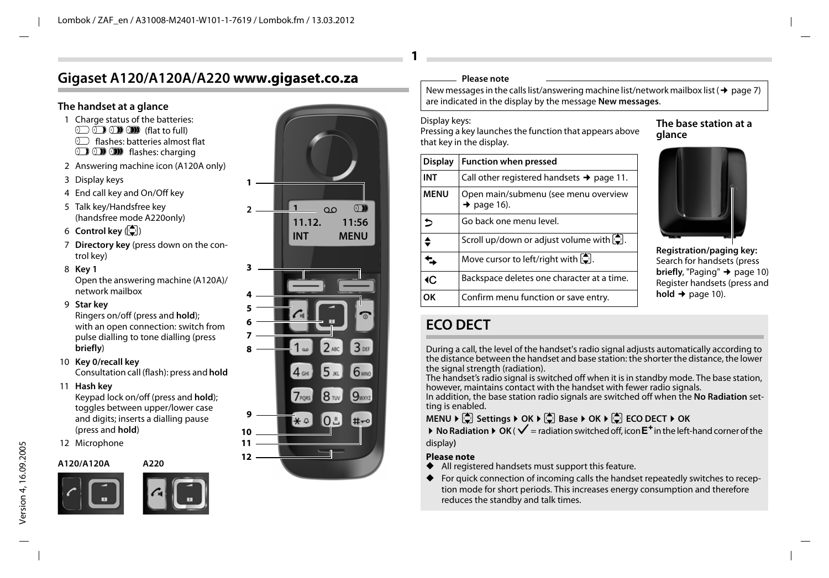# **Gigaset A120/A120A/A220 www.gigaset.co.za**

### **The handset at a glance**

- 1 Charge status of the batteries:  $\overline{(\mathbf{r})}$   $\overline{(\mathbf{r})}$   $\overline{(\mathbf{r})}$   $\overline{(\mathbf{r})}$  (flat to full)  $\circ$  flashes: batteries almost flat
	- **D O U** flashes: charging
- 2 Answering machine icon (A120A only)
- 3 Display keys
- 4 End call key and On/Off key
- 5 Talk key/Handsfree key (handsfree mode A220only)
- $6$  Control key  $\left(\begin{matrix} 6 \\ 1 \end{matrix}\right)$
- 7 **Directory key** (press down on the control key)
- 8 **Key 1**

Open the answering machine (A120A)/ network mailbox

9 **Star key** 

Ringers on/off (press and **hold**); with an open connection: switch from pulse dialling to tone dialling (press **briefly**)

- 10 **Key 0/recall key** Consultation call (flash): press and **hold**
- 11 **Hash key**

Keypad lock on/off (press and **hold**); toggles between upper/lower case and digits; inserts a dialling pause (press and **hold**)

12 Microphone

**A120/A120A A220**







### **Please note**

New messages in the calls list/answering machine list/network mailbox list ( $\rightarrow$  page 7) are indicated in the display by the message **New messages**.

#### Display keys:

**1**

Pressing a key launches the function that appears above that key in the display.

| <b>Display</b> | <b>Function when pressed</b>                                    |
|----------------|-----------------------------------------------------------------|
| INT            | Call other registered handsets $\rightarrow$ page 11.           |
| <b>MENU</b>    | Open main/submenu (see menu overview<br>$\rightarrow$ page 16). |
| ь              | Go back one menu level.                                         |
|                | Scroll up/down or adjust volume with $[\hat{\mathbb{C}}]$ .     |
|                | Move cursor to left/right with $\left[\frac{1}{2}\right]$ .     |
| ∢C             | Backspace deletes one character at a time.                      |
| OK             | Confirm menu function or save entry.                            |

### **The base station at a glance**



**Registration/paging key:** Search for handsets (press **briefly**, "Paging" → page 10) Register handsets (press and  $hold + page 10$ .

# **ECO DECT**

During a call, the level of the handset's radio signal adjusts automatically according to the distance between the handset and base station: the shorter the distance, the lower the signal strength (radiation).

The handset's radio signal is switched off when it is in standby mode. The base station, however, maintains contact with the handset with fewer radio signals.

In addition, the base station radio signals are switched off when the **No Radiation** setting is enabled.

# **MENU ▶**  $\begin{bmatrix} 1 \\ 2 \end{bmatrix}$  Settings ▶ OK ▶  $\begin{bmatrix} 1 \\ 3 \end{bmatrix}$  Base ▶ OK ▶  $\begin{bmatrix} 1 \\ 4 \end{bmatrix}$  ECO DECT ▶ OK

 $\triangleright$  **No Radiation**  $\triangleright$  **OK (** $\checkmark$  **= radiation switched off, icon**  $E^+$  **in the left-hand corner of the** display**)**

#### **Please note**

- ◆ All registered handsets must support this feature.
- For quick connection of incoming calls the handset repeatedly switches to reception mode for short periods. This increases energy consumption and therefore reduces the standby and talk times.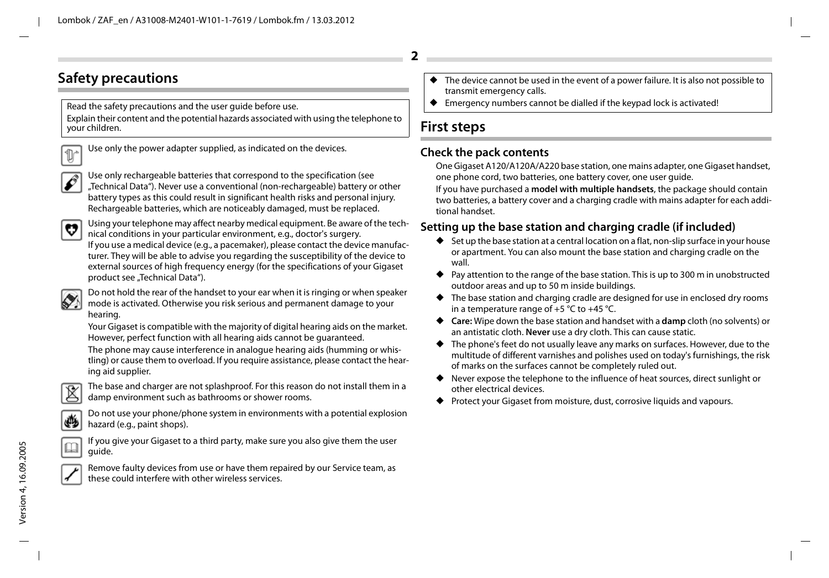# **Safety precautions**

Read the safety precautions and the user guide before use. Explain their content and the potential hazards associated with using the telephone to your children.



Use only the power adapter supplied, as indicated on the devices.



Use only rechargeable batteries that correspond to the specification (see "Technical Data"). Never use a conventional (non-rechargeable) battery or other battery types as this could result in significant health risks and personal injury. Rechargeable batteries, which are noticeably damaged, must be replaced.



Using your telephone may affect nearby medical equipment. Be aware of the technical conditions in your particular environment, e.g., doctor's surgery.

If you use a medical device (e.g., a pacemaker), please contact the device manufacturer. They will be able to advise you regarding the susceptibility of the device to external sources of high frequency energy (for the specifications of your Gigaset product see "Technical Data").



Do not hold the rear of the handset to your ear when it is ringing or when speaker mode is activated. Otherwise you risk serious and permanent damage to your hearing.

Your Gigaset is compatible with the majority of digital hearing aids on the market. However, perfect function with all hearing aids cannot be guaranteed.

The phone may cause interference in analogue hearing aids (humming or whistling) or cause them to overload. If you require assistance, please contact the hearing aid supplier.



The base and charger are not splashproof. For this reason do not install them in a damp environment such as bathrooms or shower rooms.



Do not use your phone/phone system in environments with a potential explosion hazard (e.g., paint shops).



If you give your Gigaset to a third party, make sure you also give them the user guide.



Remove faulty devices from use or have them repaired by our Service team, as these could interfere with other wireless services.

- ◆ The device cannot be used in the event of a power failure. It is also not possible to transmit emergency calls.
- Emergency numbers cannot be dialled if the keypad lock is activated!

# **First steps**

### **Check the pack contents**

One Gigaset A120/A120A/A220 base station, one mains adapter, one Gigaset handset, one phone cord, two batteries, one battery cover, one user guide.

If you have purchased a **model with multiple handsets**, the package should contain two batteries, a battery cover and a charging cradle with mains adapter for each additional handset.

# **Setting up the base station and charging cradle (if included)**

- ◆ Set up the base station at a central location on a flat, non-slip surface in your house or apartment. You can also mount the base station and charging cradle on the wall.
- ◆ Pay attention to the range of the base station. This is up to 300 m in unobstructed outdoor areas and up to 50 m inside buildings.
- $\blacklozenge$  The base station and charging cradle are designed for use in enclosed dry rooms in a temperature range of  $+5$  °C to  $+45$  °C.
- ◆ **Care:** Wipe down the base station and handset with a **damp** cloth (no solvents) or an antistatic cloth. **Never** use a dry cloth. This can cause static.
- ◆ The phone's feet do not usually leave any marks on surfaces. However, due to the multitude of different varnishes and polishes used on today's furnishings, the risk of marks on the surfaces cannot be completely ruled out.
- ◆ Never expose the telephone to the influence of heat sources, direct sunlight or other electrical devices.
- Protect your Gigaset from moisture, dust, corrosive liquids and vapours.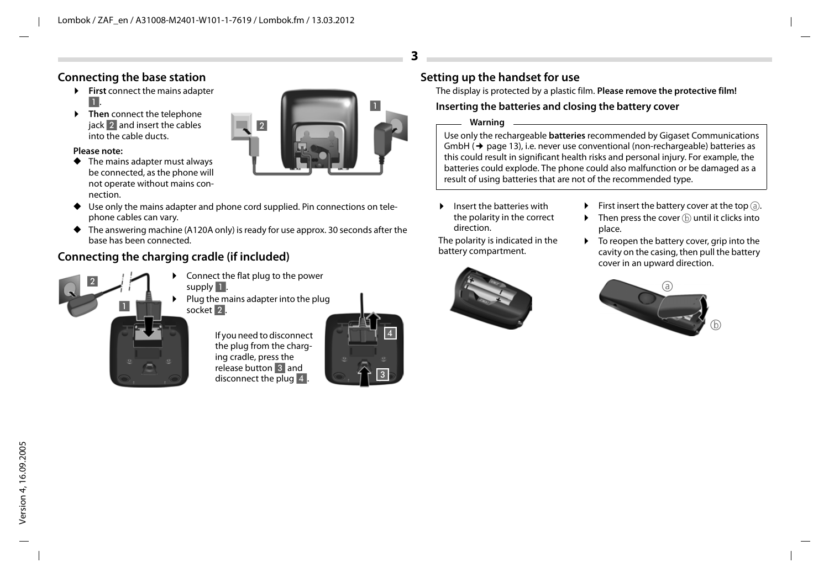### **Connecting the base station**

- **First** connect the mains adapter 1.
- **Example 2** Then connect the telephone jack 2 and insert the cables into the cable ducts.

#### **Please note:**

◆ The mains adapter must always be connected, as the phone will not operate without mains connection.



- ◆ Use only the mains adapter and phone cord supplied. Pin connections on telephone cables can vary.
- $\blacklozenge$  The answering machine (A120A only) is ready for use approx. 30 seconds after the base has been connected.

# **Connecting the charging cradle (if included)**



- Connect the flat plug to the power supply  $\blacksquare$ .
- $\blacktriangleright$  Plug the mains adapter into the plug socket 2.



If you need to disconnect the plug from the charging cradle, press the release button 3 and disconnect the plug 4.



# **Setting up the handset for use**

The display is protected by a plastic film. **Please remove the protective film!**

### **Inserting the batteries and closing the battery cover**

#### **Warning**

**3**

Use only the rechargeable **batteries** recommended by Gigaset Communications  $Gm$ bH $(\rightarrow$  page 13), i.e. never use conventional (non-rechargeable) batteries as this could result in significant health risks and personal injury. For example, the batteries could explode. The phone could also malfunction or be damaged as a result of using batteries that are not of the recommended type.

**E** Insert the batteries with the polarity in the correct direction.

The polarity is indicated in the battery compartment.



- $\blacktriangleright$  First insert the battery cover at the top  $\textcircled a$ .
- $\triangleright$  Then press the cover  $\circledD$  until it clicks into place.
- $\triangleright$  To reopen the battery cover, grip into the cavity on the casing, then pull the battery cover in an upward direction.

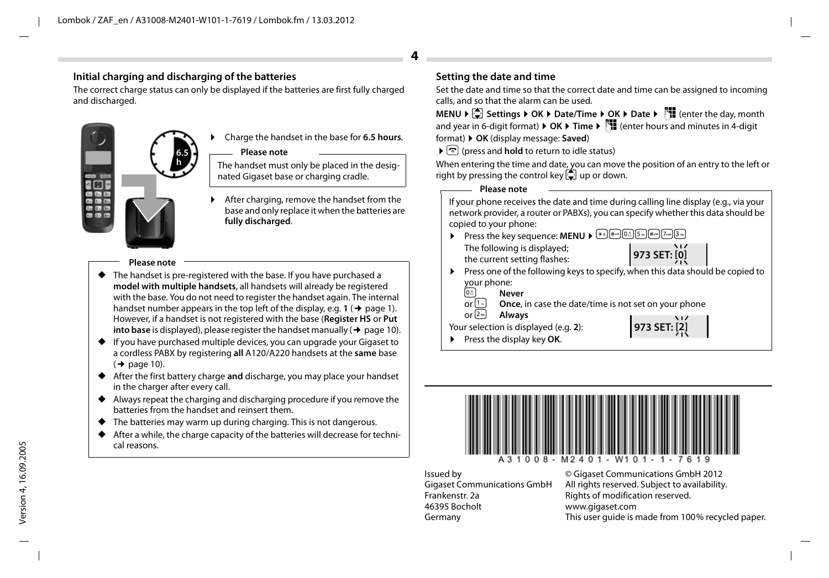### **Initial charging and discharging of the batteries**

The correct charge status can only be displayed if the batteries are first fully charged and discharged.



¤ Charge the handset in the base for **6.5 hours**.

#### **Please note**

The handset must only be placed in the designated Gigaset base or charging cradle.

After charging, remove the handset from the base and only replace it when the batteries are **fully discharged**.

#### **Please note**

- ◆ The handset is pre-registered with the base. If you have purchased a **model with multiple handsets**, all handsets will already be registered with the base. You do not need to register the handset again. The internal handset number appears in the top left of the display, e.g.  $1 \rightarrow$  page 1). However, if a handset is not registered with the base (**Register HS** or **Put into base** is displayed), please register the handset manually ( $\rightarrow$  page 10).
- ◆ If you have purchased multiple devices, you can upgrade your Gigaset to a cordless PABX by registering **all** A120/A220 handsets at the **same** base  $($   $\rightarrow$  page 10).
- ◆ After the first battery charge **and** discharge, you may place your handset in the charger after every call.
- ◆ Always repeat the charging and discharging procedure if you remove the batteries from the handset and reinsert them.
- ◆ The batteries may warm up during charging. This is not dangerous.
- After a while, the charge capacity of the batteries will decrease for technical reasons.

### **Setting the date and time**

**4**

Set the date and time so that the correct date and time can be assigned to incoming calls, and so that the alarm can be used.

**MENU ▶**  $\Box$  Settings ▶ OK ▶ Date/Time ▶ OK ▶ Date ▶  $\Box$  ater the day, month and year in 6-digit format) ¤ **OK** ¤ **Time** ¤~(enter hours and minutes in 4-digit format) ¤ **OK** (display message: **Saved**)

### $\blacktriangleright$  তি (press and **hold** to return to idle status)

When entering the time and date, you can move the position of an entry to the left or right by pressing the control key  $\Box$  up or down.

**Please note**

If your phone receives the date and time during calling line display (e.g., via your network provider, a router or PABXs), you can specify whether this data should be copied to your phone:

- **Press the key sequence: MENU >**  $\mathbb{F}_{\text{max}}$  (0.5 S m)  $\mathbb{F}_{\text{max}}$  (7 m)  $\mathbb{F}_{\text{max}}$ The following is displayed; the current setting flashes: **973 SET: [0]**
- ▶ Press one of the following keys to specify, when this data should be copied to  $\frac{your}{0.8}$  New
	- <sup>0<sub>8</sub> Never<br>or<sup>[1...</sup>] Once.</sup>
	- or  $\overline{1}$  **Once**, in case the date/time is not set on your phone<br>or  $\overline{2}$  **Always**

**Always** 

Your selection is displayed (e.g. **2**):



▶ Press the display key OK.



Issued by Gigaset Communications GmbH Frankenstr. 2a 46395 Bocholt Germany

© Gigaset Communications GmbH 2012 All rights reserved. Subject to availability. Rights of modification reserved. www.gigaset.com This user quide is made from 100% recycled paper.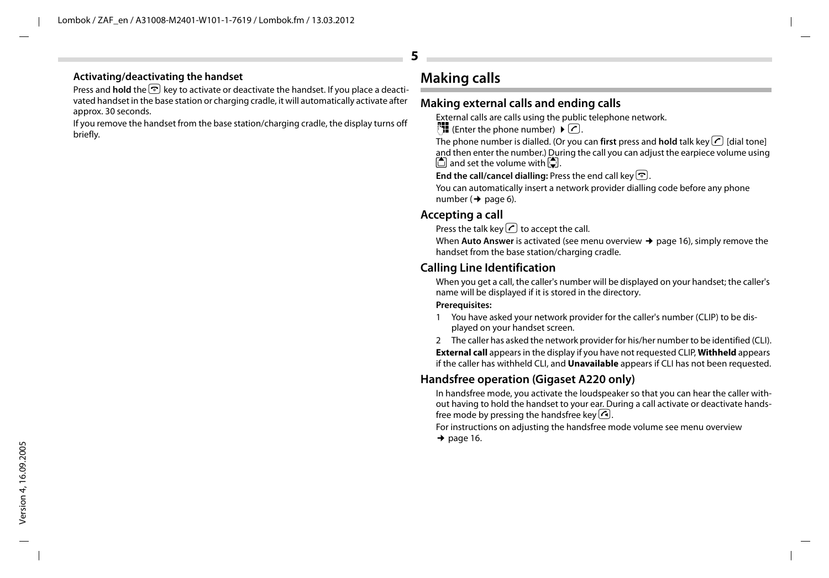### **Activating/deactivating the handset**

Press and **hold** the **a** key to activate or deactivate the handset. If you place a deactivated handset in the base station or charging cradle, it will automatically activate after approx. 30 seconds.

If you remove the handset from the base station/charging cradle, the display turns off briefly.

# **Making calls**

# **Making external calls and ending calls**

External calls are calls using the public telephone network.

 $\mathbb{F}$  (Enter the phone number)  $\blacktriangleright \boxed{\mathcal{C}}$ .

The phone number is dialled. (Or you can **first** press and **hold** talk key  $\bigcap$  [dial tone] and then enter the number.) During the call you can adjust the earpiece volume using  $\Box$  and set the volume with  $\Box$ .

End the call/cancel dialling: Press the end call key **a.** 

You can automatically insert a network provider dialling code before any phone number  $($   $\rightarrow$  page 6).

# **Accepting a call**

Press the talk key  $\bigcap$  to accept the call.

When **Auto Answer** is activated (see menu overview  $\rightarrow$  page 16), simply remove the handset from the base station/charging cradle.

### **Calling Line Identification**

When you get a call, the caller's number will be displayed on your handset; the caller's name will be displayed if it is stored in the directory.

#### **Prerequisites:**

- 1 You have asked your network provider for the caller's number (CLIP) to be displayed on your handset screen.
- 2 The caller has asked the network provider for his/her number to be identified (CLI).

**External call** appears in the display if you have not requested CLIP, **Withheld** appears if the caller has withheld CLI, and **Unavailable** appears if CLI has not been requested.

# **Handsfree operation (Gigaset A220 only)**

In handsfree mode, you activate the loudspeaker so that you can hear the caller without having to hold the handset to your ear. During a call activate or deactivate handsfree mode by pressing the handsfree key  $\bigcap$ .

For instructions on adjusting the handsfree mode volume see menu overview

 $\rightarrow$  page 16.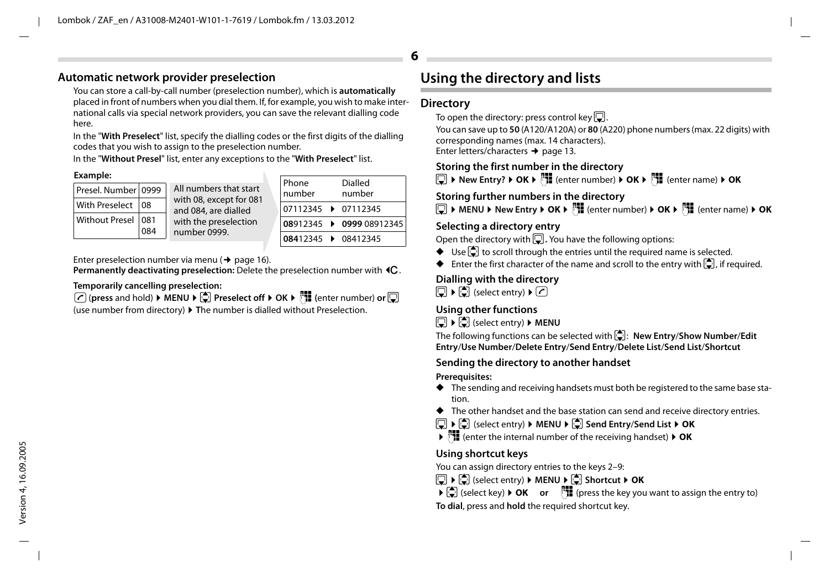### **Automatic network provider preselection**

You can store a call-by-call number (preselection number), which is **automatically** placed in front of numbers when you dial them. If, for example, you wish to make international calls via special network providers, you can save the relevant dialling code here.

In the "**With Preselect**" list, specify the dialling codes or the first digits of the dialling codes that you wish to assign to the preselection number.

In the "**Without Presel**" list, enter any exceptions to the "**With Preselect**" list.

### **Example:**

| Presel. Number 0999 |              | All numbers that start                          |  |  |  |
|---------------------|--------------|-------------------------------------------------|--|--|--|
| With Preselect      | $ 08\rangle$ | with 08, except for 081<br>and 084, are dialled |  |  |  |
| Without Presel 081  | 084          | with the preselection<br>number 0999.           |  |  |  |

| Phone<br>number     | <b>Dialled</b><br>number |  |  |  |  |
|---------------------|--------------------------|--|--|--|--|
| 07112345 > 07112345 |                          |  |  |  |  |
|                     | 08912345 0999 08912345   |  |  |  |  |
| 08412345 108412345  |                          |  |  |  |  |

Enter preselection number via menu ( $\rightarrow$  page 16).

**Permanently deactivating preselection:** Delete the preselection number with **4C**.

### **Temporarily cancelling preselection:**

**(***P*) (press and hold) ▶ MENU ▶ ( $\bigcirc$  Preselect off ▶ OK ▶ ( $\bigcirc$  ) (enter number) or  $\bigcirc$ 

(use number from directory) ¤ **T**he number is dialled without Preselection.

# **Using the directory and lists**

### **Directory**

**6**

To open the directory: press control key  $\Box$ .

You can save up to **50** (A120/A120A) or **80** (A220) phone numbers (max. 22 digits) with corresponding names (max. 14 characters). Enter letters/characters → page 13.

### **Storing the first number in the directory**

s¤ **New Entry?** ¤ **OK** ¤~ (enter number) ¤ **OK** ¤~ (enter name) ¤ **OK**

### **Storing further numbers in the directory**

s¤ **MENU** ¤ **New Entry** ¤ **OK** ¤~ (enter number) ¤ **OK** ¤~ (enter name) ¤ **OK**

### **Selecting a directory entry**

Open the directory with  $\Box$ . You have the following options:

- $\blacklozenge$  Use  $\Box$  to scroll through the entries until the required name is selected.
- $\blacklozenge$  Enter the first character of the name and scroll to the entry with  $\ddot{\odot}$ , if required.

### **Dialling with the directory**

 $\Box$   $\triangleright$   $\Box$  (select entry)  $\triangleright$   $\Box$ 

### **Using other functions**

s¤ u(select entry) ¤ **MENU**

The following functions can be selected with  $\left(\frac{1}{\sqrt{2}}\right)$ : **New Entry/Show Number/Edit Entry**/**Use Number**/**Delete Entry**/**Send Entry**/**Delete List**/**Send List**/**Shortcut**

### **Sending the directory to another handset**

#### **Prerequisites:**

- ◆ The sending and receiving handsets must both be registered to the same base station.
- ◆ The other handset and the base station can send and receive directory entries.

### $\boxed{ }$  ▶  $\boxed{ }$  (select entry) ▶ MENU ▶  $\boxed{ }$  Send Entry/Send List ▶ OK

¤~(enter the internal number of the receiving handset) ¤ **OK**

### **Using shortcut keys**

You can assign directory entries to the keys 2–9:

- $\Box$  ▶  $\Box$  (select entry) ▶ **MENU** ▶  $\Box$  Shortcut ▶ OK
- **▶**  $\bigcirc$  (select key) **▶ OK or**  $\bigcirc$  **PH** (press the key you want to assign the entry to)

**To dial**, press and **hold** the required shortcut key.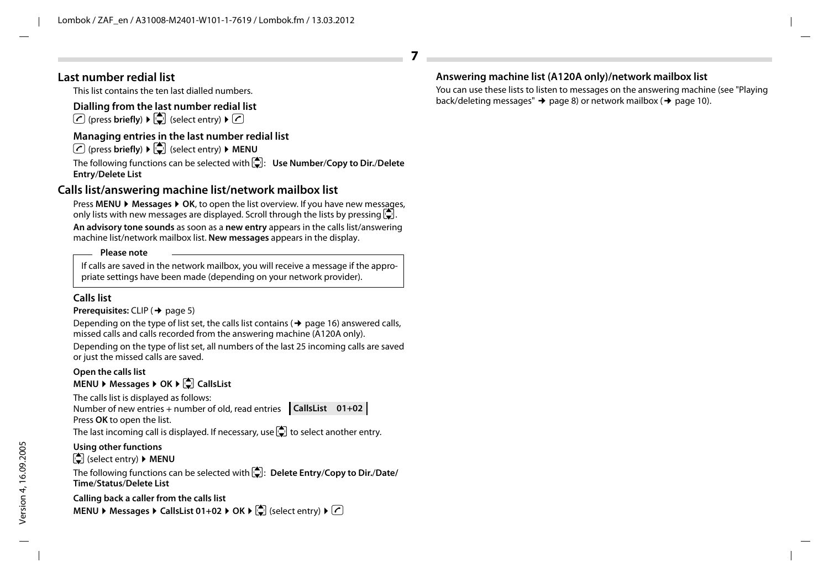### **Last number redial list**

This list contains the ten last dialled numbers.

### **Dialling from the last number redial list**

 $\boxed{\frown}$  (press **briefly**)  $\boxed{\frown}$  (select entry)  $\boxed{\frown}$ 

### **Managing entries in the last number redial list**

 $\boxed{\frown}$  (press **briefly**)  $\blacktriangleright$   $\boxed{\frown}$  (select entry)  $\blacktriangleright$  **MENU** 

The following functions can be selected with u: **Use Number**/**Copy to Dir.**/**Delete Entry**/**Delete List**

# **Calls list/answering machine list/network mailbox list**

Press **MENU** ¤ **Messages** ¤ **OK**, to open the list overview. If you have new messages, only lists with new messages are displayed. Scroll through the lists by pressing  $\Box$ .

**An advisory tone sounds** as soon as a **new entry** appears in the calls list/answering machine list/network mailbox list. **New messages** appears in the display.

#### **Please note**

If calls are saved in the network mailbox, you will receive a message if the appropriate settings have been made (depending on your network provider).

### **Calls list**

### **Prerequisites:** CLIP ( $\rightarrow$  page 5)

Depending on the type of list set, the calls list contains ( $\rightarrow$  page 16) answered calls, missed calls and calls recorded from the answering machine (A120A only).

Depending on the type of list set, all numbers of the last 25 incoming calls are saved or just the missed calls are saved.

### **Open the calls list**

### **MENU** ▶ Messages ▶ OK ▶  $\bigcirc$  CallsList

The calls list is displayed as follows:

Number of new entries + number of old, read entries **CallsList 01+02** Press **OK** to open the list.

The last incoming call is displayed. If necessary, use  $\Box$  to select another entry.

### **Using other functions**

u (select entry) ¤ **MENU**

The following functions can be selected with u: **Delete Entry**/**Copy to Dir.**/**Date/ Time**/**Status**/**Delete List**

**Calling back a caller from the calls list MENU** ▶ Messages ▶ CallsList 01+02 ▶ OK ▶  $\bigcirc$  (select entry) ▶ ⊘

# **Answering machine list (A120A only)/network mailbox list**

**7**

You can use these lists to listen to messages on the answering machine (see "Playing back/deleting messages"  $\rightarrow$  page 8) or network mailbox ( $\rightarrow$  page 10).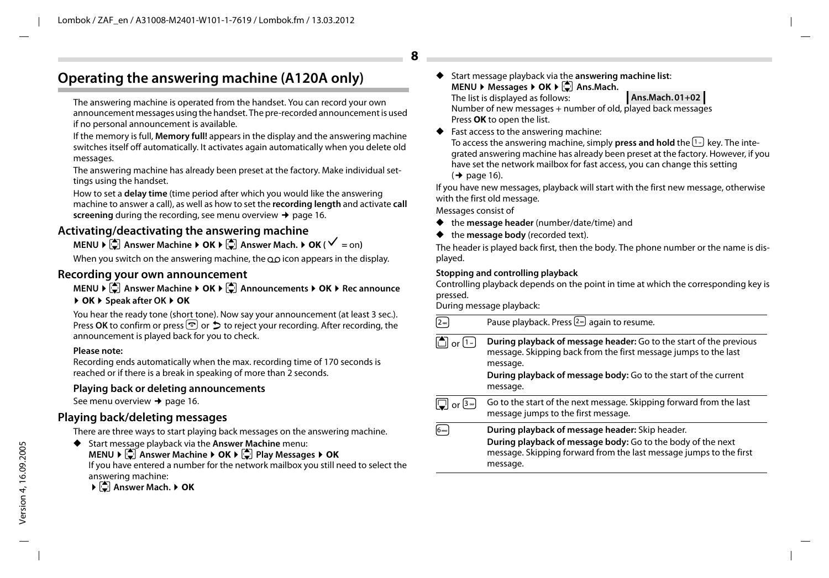# **Operating the answering machine (A120A only)**

The answering machine is operated from the handset. You can record your own announcement messages using the handset. The pre-recorded announcement is used if no personal announcement is available.

If the memory is full, **Memory full!** appears in the display and the answering machine switches itself off automatically. It activates again automatically when you delete old messages.

The answering machine has already been preset at the factory. Make individual settings using the handset.

How to set a **delay time** (time period after which you would like the answering machine to answer a call), as well as how to set the **recording length** and activate **call screening** during the recording, see menu overview  $\rightarrow$  page 16.

# **Activating/deactivating the answering machine**

### $MENU \triangleright \begin{bmatrix} 1 \\ 2 \end{bmatrix}$  Answer Machine  $\triangleright$  **OK**  $\triangleright \begin{bmatrix} 1 \\ 3 \end{bmatrix}$  Answer Mach.  $\triangleright$  **OK** ( $\checkmark$  = on)

When you switch on the answering machine, the  $\Omega$  icon appears in the display.

### **Recording your own announcement**

### **MENU ▶**  $\bullet$  **Answer Machine ▶ OK ▶**  $\bullet$  **Announcements ▶ OK ▶ Rec announce** ¤ **OK** ¤ **Speak after OK** ¤ **OK**

You hear the ready tone (short tone). Now say your announcement (at least 3 sec.). Press **OK** to confirm or press **a** or  $\hat{\Sigma}$  to reject your recording. After recording, the announcement is played back for you to check.

#### **Please note:**

Recording ends automatically when the max. recording time of 170 seconds is reached or if there is a break in speaking of more than 2 seconds.

### **Playing back or deleting announcements**

See menu overview  $\rightarrow$  page 16.

### **Playing back/deleting messages**

There are three ways to start playing back messages on the answering machine.

◆ Start message playback via the **Answer Machine** menu:

**MENU ▶**  $\bullet$  **Answer Machine ▶ OK ▶**  $\bullet$  **Play Messages ▶ OK** 

If you have entered a number for the network mailbox you still need to select the answering machine:

**▶**  $\bigcirc$  Answer Mach. ▶ OK

- Start message playback via the **answering machine list**: **MENU ▶ Messages ▶ OK ▶ · Ans.Mach.** The list is displayed as follows: Number of new messages + number of old, played back messages Press **OK** to open the list. **Ans.Mach. 01+02**
- Fast access to the answering machine:

To access the answering machine, simply **press and hold** the <sup>[1</sup>-] key. The integrated answering machine has already been preset at the factory. However, if you have set the network mailbox for fast access, you can change this setting  $($   $\rightarrow$  page 16).

If you have new messages, playback will start with the first new message, otherwise with the first old message.

Messages consist of

**8**

- ◆ the **message header** (number/date/time) and
- the **message body** (recorded text).

The header is played back first, then the body. The phone number or the name is displayed.

#### **Stopping and controlling playback**

Controlling playback depends on the point in time at which the corresponding key is pressed.

During message playback:

|                | Pause playback. Press $2\frac{m}{2}$ again to resume.                                                                                                                                                                                   |
|----------------|-----------------------------------------------------------------------------------------------------------------------------------------------------------------------------------------------------------------------------------------|
| or [1 =        | During playback of message header: Go to the start of the previous<br>message. Skipping back from the first message jumps to the last<br>message.<br><b>During playback of message body:</b> Go to the start of the current<br>message. |
| or $[3\omega]$ | Go to the start of the next message. Skipping forward from the last<br>message jumps to the first message.                                                                                                                              |
| l6m            | During playback of message header: Skip header.<br>During playback of message body: Go to the body of the next<br>message. Skipping forward from the last message jumps to the first<br>message.                                        |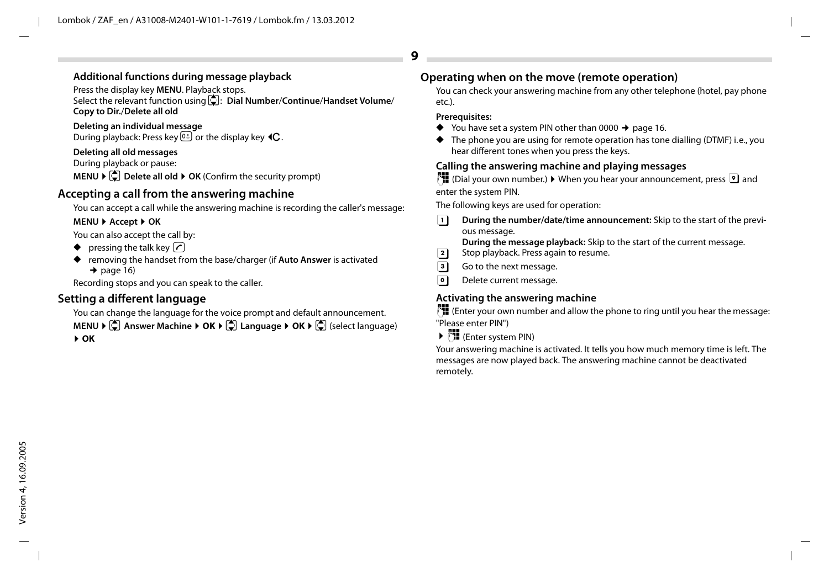### **Additional functions during message playback**

Press the display key **MENU**. Playback stops.

Select the relevant function using u: **Dial Number**/**Continue**/**Handset Volume**/ **Copy to Dir.**/**Delete all old**

**Deleting an individual message** During playback: Press key  $\overline{0.8}$  or the display key  $\triangleleft C$ .

### **Deleting all old messages**

During playback or pause:

**MENU ▶**  $\bigcirc$  **Delete all old ▶ OK (Confirm the security prompt)** 

# **Accepting a call from the answering machine**

You can accept a call while the answering machine is recording the caller's message:

### **MENU** ¤ **Accept** ¤ **OK**

You can also accept the call by:

- $\blacklozenge$  pressing the talk key  $\oslash$
- ◆ removing the handset from the base/charger (if **Auto Answer** is activated  $\rightarrow$  page 16)

Recording stops and you can speak to the caller.

# **Setting a different language**

You can change the language for the voice prompt and default announcement.

**MENU ▶**  $\bullet$  **Answer Machine ▶ OK ▶**  $\bullet$  **Language ▶ OK ▶**  $\bullet$  (select language) ¤ **OK**

# **Operating when on the move (remote operation)**

You can check your answering machine from any other telephone (hotel, pay phone etc.).

### **Prerequisites:**

**9**

- $\blacklozenge$  You have set a system PIN other than 0000  $\blacktriangleright$  page 16.
- $\blacklozenge$  The phone you are using for remote operation has tone dialling (DTMF) i.e., you hear different tones when you press the keys.

# **Calling the answering machine and playing messages**

~(Dial your own number.) ¤ When you hear your announcement, press 9 and enter the system PIN.

The following keys are used for operation:

A **During the number/date/time announcement:** Skip to the start of the previous message.

**During the message playback:** Skip to the start of the current message.

- **2** Stop playback. Press again to resume.<br>**3** Go to the next message.
- **3** Go to the next message.<br> **0** Delete current message.
- 0 Delete current message.

# **Activating the answering machine**

 $~^{14}$  (Enter your own number and allow the phone to ring until you hear the message: "Please enter PIN")

▶  $^{\text{PII}}$  (Enter system PIN)

Your answering machine is activated. It tells you how much memory time is left. The messages are now played back. The answering machine cannot be deactivated remotely.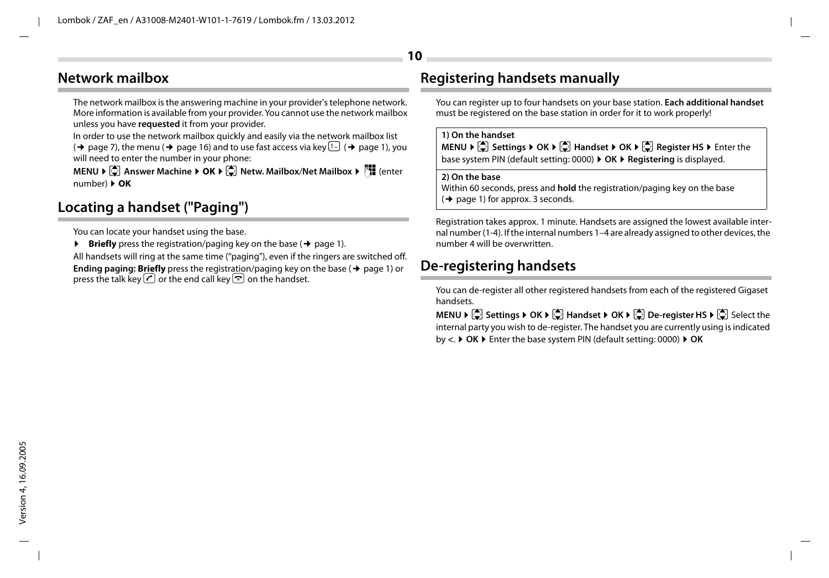# **Network mailbox**

The network mailbox is the answering machine in your provider's telephone network. More information is available from your provider. You cannot use the network mailbox unless you have **requested** it from your provider.

In order to use the network mailbox quickly and easily via the network mailbox list

 $(\rightarrow$  page 7), the menu ( $\rightarrow$  page 16) and to use fast access via key  $\lceil \cdot \rceil$  ( $\rightarrow$  page 1), you will need to enter the number in your phone:

**MENU ▶ ♦ Answer Machine ▶ OK ▶ ♦ (\*) Netw. Mailbox/Net Mailbox ▶ (\*) (enter** number) ¤ **OK**

# **Locating a handset ("Paging")**

You can locate your handset using the base.

 $\triangleright$  **Briefly** press the registration/paging key on the base ( $\rightarrow$  page 1).

All handsets will ring at the same time ("paging"), even if the ringers are switched off. **Ending paging: Briefly** press the registration/paging key on the base ( $\rightarrow$  page 1) or press the talk key  $\bigcirc$  or the end call key  $\circledcirc$  on the handset.

# **Registering handsets manually**

You can register up to four handsets on your base station. **Each additional handset** must be registered on the base station in order for it to work properly!

#### **1) On the handset**

**10**

**MENU ▶**  $\bullet$  Settings ▶ OK ▶  $\bullet$  Handset ▶ OK ▶  $\bullet$  Register HS ▶ Enter the base system PIN (default setting: 0000) ¤ **OK** ¤ **Registering** is displayed.

### **2) On the base**

Within 60 seconds, press and **hold** the registration/paging key on the base  $($   $\rightarrow$  page 1) for approx. 3 seconds.

Registration takes approx. 1 minute. Handsets are assigned the lowest available internal number (1-4). If the internal numbers 1–4 are already assigned to other devices, the number 4 will be overwritten.

# **De-registering handsets**

You can de-register all other registered handsets from each of the registered Gigaset handsets.

**MENU ▶**  $\Box$  Settings ▶ OK ▶  $\Box$  Handset ▶ OK ▶  $\Box$  De-register HS ▶  $\Box$  Select the internal party you wish to de-register. The handset you are currently using is indicated by **<**. ¤ **OK** ¤ Enter the base system PIN (default setting: 0000) ¤ **OK**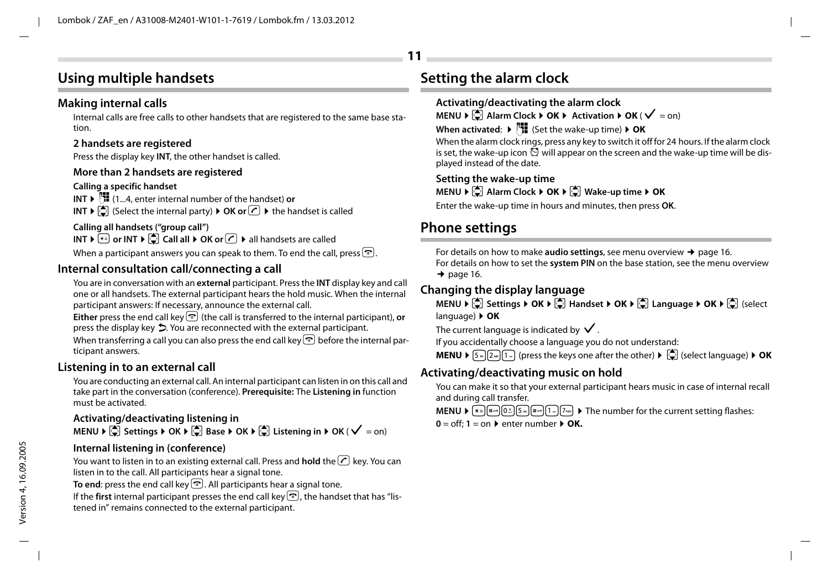# **Using multiple handsets**

# **Making internal calls**

Internal calls are free calls to other handsets that are registered to the same base station.

### **2 handsets are registered**

Press the display key **INT**, the other handset is called.

### **More than 2 handsets are registered**

### **Calling a specific handset**

**INT** ▶  $\mathbb{F}$  (1...4, enter internal number of the handset) **or INT**  $\blacktriangleright$   $\left[\bigcirc\right]$  (Select the internal party)  $\blacktriangleright$  **OK or**  $\bigcirc$   $\blacktriangleright$  the handset is called

# **Calling all handsets ("group call")**

**INT** ▶  $\leftarrow$  or INT ▶  $\leftarrow$  Call all ▶ OK or  $\cap$  ▶ all handsets are called When a participant answers you can speak to them. To end the call, press  $\mathbb{R}$ .

# **Internal consultation call/connecting a call**

You are in conversation with an **external** participant. Press the **INT** display key and call one or all handsets. The external participant hears the hold music. When the internal participant answers: If necessary, announce the external call.

Either press the end call key  $\bigcirc$  (the call is transferred to the internal participant), **or** press the display key  $\triangleright$ . You are reconnected with the external participant.

When transferring a call you can also press the end call key  $\lceil \cdot \rceil$  before the internal participant answers.

# **Listening in to an external call**

You are conducting an external call. An internal participant can listen in on this call and take part in the conversation (conference). **Prerequisite:** The **Listening in** function must be activated.

# **Activating/deactivating listening in**

**MENU**  $\triangleright$  $\begin{bmatrix} \stackrel{\bullet}{\bullet} \end{bmatrix}$  **Settings**  $\triangleright$  **OK**  $\triangleright$  $\begin{bmatrix} \stackrel{\bullet}{\bullet} \end{bmatrix}$  **Exters Extening in**  $\triangleright$  **OK (** $\checkmark$  **= on)** 

### **Internal listening in (conference)**

You want to listen in to an existing external call. Press and **hold** the **C** key. You can listen in to the call. All participants hear a signal tone.

**To end:** press the end call key  $\heartsuit$ . All participants hear a signal tone.

If the **first** internal participant presses the end call key  $\odot$ , the handset that has "listened in" remains connected to the external participant.

# **Setting the alarm clock**

**11**

### **Activating/deactivating the alarm clock**

**MENU**  $\triangleright$  $\begin{bmatrix} \triangle \\ \triangle \end{bmatrix}$  **Alarm Clock**  $\triangleright$  **OK**  $\triangleright$  **Activation**  $\triangleright$  **OK (** $\checkmark$  **= on)** 

### **When activated:**  $\triangleright$  $\frac{1}{1}$  (Set the wake-up time)  $\triangleright$  **OK**

When the alarm clock rings, press any key to switch it off for 24 hours. If the alarm clock is set, the wake-up icon  $\breve{\odot}$  will appear on the screen and the wake-up time will be displayed instead of the date.

**Setting the wake-up time MENU ▶**  $\bigcirc$  **Alarm Clock ▶ OK ▶**  $\bigcirc$  **Wake-up time ▶ OK** 

Enter the wake-up time in hours and minutes, then press **OK**.

# **Phone settings**

For details on how to make **audio settings**, see menu overview  $\rightarrow$  page 16. For details on how to set the **system PIN** on the base station, see the menu overview  $\rightarrow$  page 16.

# **Changing the display language**

**MENU**  $\blacktriangleright$  **Settings**  $\blacktriangleright$  **OK**  $\blacktriangleright$   $\begin{bmatrix} \triangle \\ \square \end{bmatrix}$  Language  $\blacktriangleright$  OK  $\blacktriangleright$   $\begin{bmatrix} \triangle \\ \square \end{bmatrix}$  (select language) ¤ **OK**

The current language is indicated by  $\checkmark$ .

If you accidentally choose a language you do not understand:

**MENU**  $\blacktriangleright$   $\lceil 5\pi/2\pi/1\pi \rceil$  (press the keys one after the other)  $\blacktriangleright$   $\lceil \frac{1}{2} \rceil$  (select language)  $\blacktriangleright$  **OK** 

# **Activating/deactivating music on hold**

You can make it so that your external participant hears music in case of internal recall and during call transfer.

**MENU**  $\bullet$   $\mathbb{R}$   $\bullet$   $\mathbb{R}$   $\bullet$   $\mathbb{R}$   $\mathbb{R}$   $\bullet$   $\mathbb{R}$   $\mathbb{R}$   $\bullet$   $\mathbb{R}$   $\mathbb{R}$   $\bullet$  The number for the current setting flashes:

 $0 = \text{off: } 1 = \text{on}$  **b** enter number  $\triangleright$  **OK.**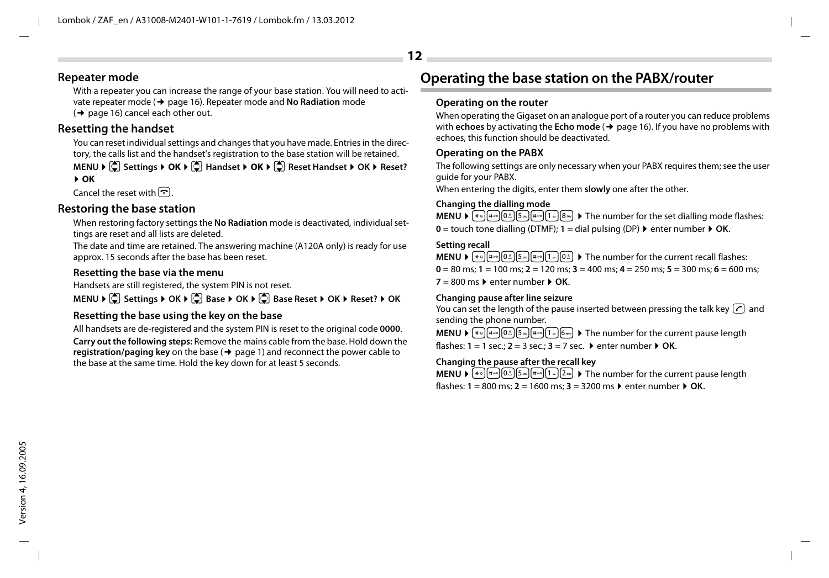### **Repeater mode**

With a repeater you can increase the range of your base station. You will need to activate repeater mode (¢ page 16). Repeater mode and **No Radiation** mode  $(\rightarrow$  page 16) cancel each other out.

# **Resetting the handset**

You can reset individual settings and changes that you have made. Entries in the directory, the calls list and the handset's registration to the base station will be retained.

**MENU ▶**  $\bigcirc$  **Settings ▶ OK ▶**  $\bigcirc$  **Handset ▶ OK ▶**  $\bigcirc$  **Reset Handset ▶ OK ▶ Reset?** ¤ **OK**

Cancel the reset with  $\boxed{\odot}$ .

### **Restoring the base station**

When restoring factory settings the **No Radiation** mode is deactivated, individual settings are reset and all lists are deleted.

The date and time are retained. The answering machine (A120A only) is ready for use approx. 15 seconds after the base has been reset.

### **Resetting the base via the menu**

Handsets are still registered, the system PIN is not reset.

**MENU ▶**  $\boxed{2}$  Settings ▶ OK ▶  $\boxed{3}$  Base ▶ OK ▶  $\boxed{4}$  Base Reset ▶ OK ▶ Reset? ▶ OK

### **Resetting the base using the key on the base**

All handsets are de-registered and the system PIN is reset to the original code **0000**. **Carry out the following steps:** Remove the mains cable from the base. Hold down the **registration/paging key** on the base ( $\rightarrow$  page 1) and reconnect the power cable to the base at the same time. Hold the key down for at least 5 seconds.

# **Operating the base station on the PABX/router**

### **Operating on the router**

When operating the Gigaset on an analogue port of a router you can reduce problems with **echoes** by activating the **Echo mode** ( $\rightarrow$  page 16). If you have no problems with echoes, this function should be deactivated.

### **Operating on the PABX**

The following settings are only necessary when your PABX requires them; see the user guide for your PABX.

When entering the digits, enter them **slowly** one after the other.

### **Changing the dialling mode**

**MENU**  $\triangleright$   $\begin{bmatrix} \ast \\ \ast \end{bmatrix}$  $\begin{bmatrix} \ast \\ \ast \end{bmatrix}$  $\begin{bmatrix} \pi \\ \pi \end{bmatrix}$  $\begin{bmatrix} \pi \\ \pi \end{bmatrix}$  $\begin{bmatrix} \pi \\ \pi \end{bmatrix}$  $\begin{bmatrix} \pi \\ \pi \end{bmatrix}$  $\begin{bmatrix} \pi \\ \pi \end{bmatrix}$  $\begin{bmatrix} \pi \\ \pi \end{bmatrix}$  $\begin{bmatrix} \pi \\ \pi \end{bmatrix}$  $\begin{bmatrix} \pi \\ \pi \end{bmatrix}$  $\begin{bmatrix} \pi \\ \pi \end{bmatrix$  $0 =$  touch tone dialling (DTMF):  $1 =$  dial pulsing (DP)  $\triangleright$  enter number  $\triangleright$  **OK**.

### **Setting recall**

**MENU**  $\mathbf{F} = \begin{bmatrix} \frac{1}{2} & \frac{1}{2} \\ \frac{1}{2} & \frac{1}{2} \\ \frac{1}{2} & \frac{1}{2} \end{bmatrix}$   $\begin{bmatrix} \frac{1}{2} & \frac{1}{2} \\ \frac{1}{2} & \frac{1}{2} \end{bmatrix}$  The number for the current recall flashes:  $0 = 80$  ms;  $1 = 100$  ms;  $2 = 120$  ms;  $3 = 400$  ms;  $4 = 250$  ms;  $5 = 300$  ms;  $6 = 600$  ms;  $7 = 800$  ms  $\blacktriangleright$  enter number  $\blacktriangleright$  OK.

### **Changing pause after line seizure**

You can set the length of the pause inserted between pressing the talk key  $\lfloor \cdot \rfloor$  and sending the phone number.

**MENU**  $\mathbf{F} \leftarrow \mathbb{F} \left[\mathbb{F} \left[\mathbb{F} \left[\mathbb{F} \left[\mathbb{F} \left[\mathbb{F} \left[\mathbb{F} \left[\mathbb{F} \left[\mathbb{F} \left[\mathbb{F} \left[\mathbb{F} \left[\mathbb{F} \left[\mathbb{F} \left[\mathbb{F} \left[\mathbb{F} \left[\mathbb{F} \left[\mathbb{F} \left[\mathbb{F} \left[\mathbb{F} \left[\mathbb{F} \left[\mathbb{F} \left[\mathbb{F} \left[\mathbb{F} \left[\mathbb{F} \left[\mathbb{F} \left[\mathbb{$ flashes:  $1 = 1$  sec.;  $2 = 3$  sec.;  $3 = 7$  sec.  $\triangleright$  enter number  $\triangleright$  **OK.** 

#### **Changing the pause after the recall key**

**MENU**  $\mathbf{F}$   $\mathbf{F}$   $\mathbf{F}$   $\mathbf{F}$   $\mathbf{F}$   $\mathbf{F}$   $\mathbf{F}$   $\mathbf{F}$   $\mathbf{F}$   $\mathbf{F}$   $\mathbf{F}$   $\mathbf{F}$   $\mathbf{F}$   $\mathbf{F}$   $\mathbf{F}$   $\mathbf{F}$   $\mathbf{F}$   $\mathbf{F}$   $\mathbf{F}$   $\mathbf{F}$   $\mathbf{F}$   $\mathbf{F}$   $\mathbf{F}$   $\mathbf{F}$ flashes:  $1 = 800$  ms;  $2 = 1600$  ms;  $3 = 3200$  ms  $\triangleright$  enter number  $\triangleright$  **OK.**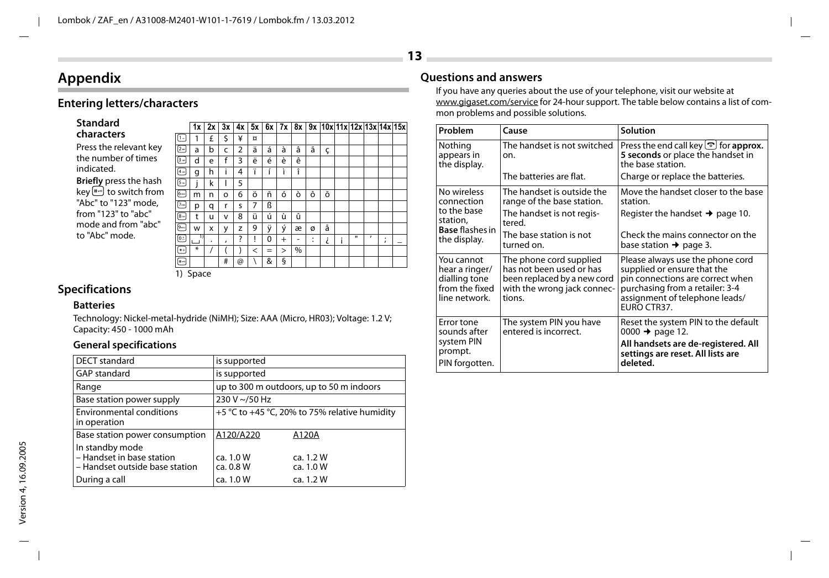# **Appendix**

# **Entering letters/characters**

| Standard                          |
|-----------------------------------|
| characters                        |
| Press the relevant key            |
| the number of times               |
| indicated.                        |
| Briefly press the hash            |
| key <a><a></a> to switch from</a> |
| "Abc" to "123" mode.              |
| from "123" to "abc"               |
| mode and from "abc"               |
| to "Abc" mode.                    |

|     |                | 1x          | 2x | 3x           | 4x | 5x       | 6x       | 7x           | 8x |                     | 9x 10x 11x 12x 13x 14x 15x |        |   |   |                   |   |
|-----|----------------|-------------|----|--------------|----|----------|----------|--------------|----|---------------------|----------------------------|--------|---|---|-------------------|---|
|     | ⊡              | 1           | £  | Ś            | ¥  | $\alpha$ |          |              |    |                     |                            |        |   |   |                   |   |
| эy  | ⋳              | a           | b  | C            | 2  | ä        | á        | à            | â  | ã                   | ç                          |        |   |   |                   |   |
| 5   | 3-)            | d           | e  | f            | 3  | ë        | é        | è            | ê  |                     |                            |        |   |   |                   |   |
|     | [4⊸]           | g           | h  | i            | 4  | ï        |          | ì            | î  |                     |                            |        |   |   |                   |   |
| ۰h  | (- 5           |             | k  |              | 5  |          |          |              |    |                     |                            |        |   |   |                   |   |
| m   | $6-$           | m           | n  | $\circ$      | 6  | ö        | ñ        | ó            | ò  | ô                   | õ                          |        |   |   |                   |   |
| ì,  | [7--           | p           | q  | r            | S  | 7        | ß        |              |    |                     |                            |        |   |   |                   |   |
|     | $^{8-}$        | t           | u  | v            | 8  | ü        | ú        | ù            | û  |                     |                            |        |   |   |                   |   |
| ا": | 9---           | w           | X  | У            | z  | 9        | ÿ        | ý            | æ  | ø                   | å                          |        |   |   |                   |   |
|     | ⊙              | 1)          | ٠  | $\mathbf{r}$ | ?  | Ţ        | $\Omega$ | $+$          | -  | ٠<br>$\blacksquare$ | i                          | ٠<br>Î | п | ı | ٠<br>$\mathbf{r}$ | - |
|     | (*⊙            | ₩           |    |              |    | $\,<$    | $=$      | $\mathbf{I}$ | %  |                     |                            |        |   |   |                   |   |
|     | $\mathfrak{m}$ |             |    | #            | @  |          | &        | ş            |    |                     |                            |        |   |   |                   |   |
|     |                | $11$ Cancer |    |              |    |          |          |              |    |                     |                            |        |   |   |                   |   |

1) Space

### **Specifications**

### **Batteries**

Technology: Nickel-metal-hydride (NiMH); Size: AAA (Micro, HR03); Voltage: 1.2 V; Capacity: 450 - 1000 mAh

### **General specifications**

| DECT standard                                                                  | is supported                             |                                               |  |  |  |
|--------------------------------------------------------------------------------|------------------------------------------|-----------------------------------------------|--|--|--|
| <b>GAP standard</b>                                                            | is supported                             |                                               |  |  |  |
| Range                                                                          | up to 300 m outdoors, up to 50 m indoors |                                               |  |  |  |
| Base station power supply                                                      | 230 V ~/50 Hz                            |                                               |  |  |  |
| <b>Environmental conditions</b><br>in operation                                |                                          | +5 °C to +45 °C, 20% to 75% relative humidity |  |  |  |
| Base station power consumption                                                 | A120/A220                                | A120A                                         |  |  |  |
| In standby mode<br>- Handset in base station<br>- Handset outside base station | ca. 1.0 W<br>ca. 0.8 W                   | ca. 1.2 W<br>ca. 1.0 W                        |  |  |  |
| During a call                                                                  | ca. 1.0 W                                | ca. 1.2 W                                     |  |  |  |

# **Questions and answers**

If you have any queries about the use of your telephone, visit our website at www.gigaset.com/service for 24-hour support. The table below contains a list of common problems and possible solutions.

| Problem                                                                          | Cause                                                                                                                       | Solution                                                                                                                                                                                |
|----------------------------------------------------------------------------------|-----------------------------------------------------------------------------------------------------------------------------|-----------------------------------------------------------------------------------------------------------------------------------------------------------------------------------------|
| Nothing<br>appears in<br>the display.                                            | The handset is not switched<br>on.                                                                                          | Press the end call key $\odot$ for approx.<br>5 seconds or place the handset in<br>the base station.                                                                                    |
|                                                                                  | The batteries are flat.                                                                                                     | Charge or replace the batteries.                                                                                                                                                        |
| No wireless<br>connection                                                        | The handset is outside the<br>range of the base station.                                                                    | Move the handset closer to the base<br>station.                                                                                                                                         |
| to the base<br>station,<br><b>Base</b> flashes in                                | The handset is not regis-<br>tered                                                                                          | Register the handset $\rightarrow$ page 10.                                                                                                                                             |
| the display.                                                                     | The base station is not<br>turned on.                                                                                       | Check the mains connector on the<br>base station $\rightarrow$ page 3.                                                                                                                  |
| You cannot<br>hear a ringer/<br>dialling tone<br>from the fixed<br>line network. | The phone cord supplied<br>has not been used or has<br>been replaced by a new cord<br>with the wrong jack connec-<br>tions. | Please always use the phone cord<br>supplied or ensure that the<br>pin connections are correct when<br>purchasing from a retailer: 3-4<br>assignment of telephone leads/<br>EURO CTR37. |
| Error tone<br>sounds after<br>system PIN<br>prompt.<br>PIN forgotten.            | The system PIN you have<br>entered is incorrect.                                                                            | Reset the system PIN to the default<br>0000 $\rightarrow$ page 12.<br>All handsets are de-registered. All<br>settings are reset. All lists are<br>deleted.                              |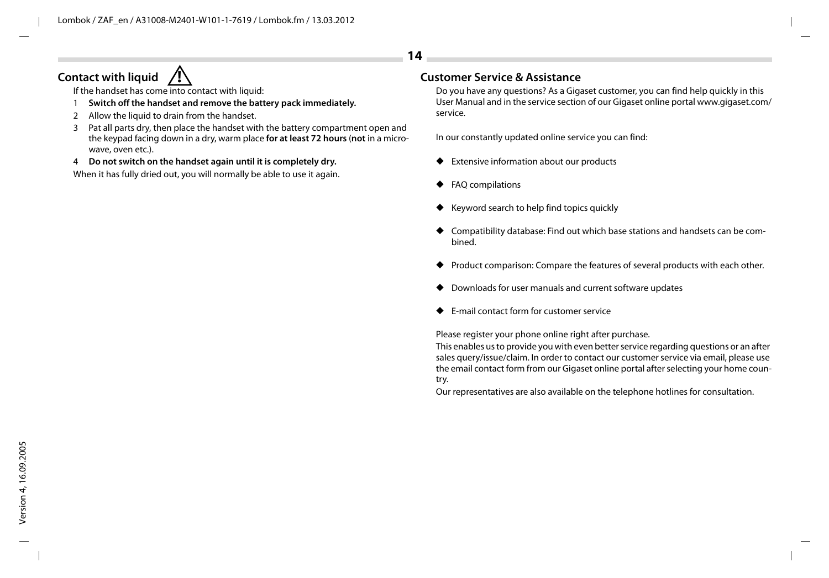# **Contact with liquid**

If the handset has come  $\overline{into}$  contact with liquid:

- 1 **Switch off the handset and remove the battery pack immediately.**
- 2 Allow the liquid to drain from the handset.
- 3 Pat all parts dry, then place the handset with the battery compartment open and the keypad facing down in a dry, warm place **for at least 72 hours** (**not** in a microwave, oven etc.).
- 4 **Do not switch on the handset again until it is completely dry.**

When it has fully dried out, you will normally be able to use it again.

# **! Customer Service & Assistance**

Do you have any questions? As a Gigaset customer, you can find help quickly in this User Manual and in the service section of our Gigaset online portal www.gigaset.com/ service.

In our constantly updated online service you can find:

- Extensive information about our products
- ◆ FAQ compilations

**14**

- ◆ Keyword search to help find topics quickly
- ◆ Compatibility database: Find out which base stations and handsets can be combined.
- Product comparison: Compare the features of several products with each other.
- Downloads for user manuals and current software updates
- **E-mail contact form for customer service**

Please register your phone online right after purchase.

This enables us to provide you with even better service regarding questions or an after sales query/issue/claim. In order to contact our customer service via email, please use the email contact form from our Gigaset online portal after selecting your home country.

Our representatives are also available on the telephone hotlines for consultation.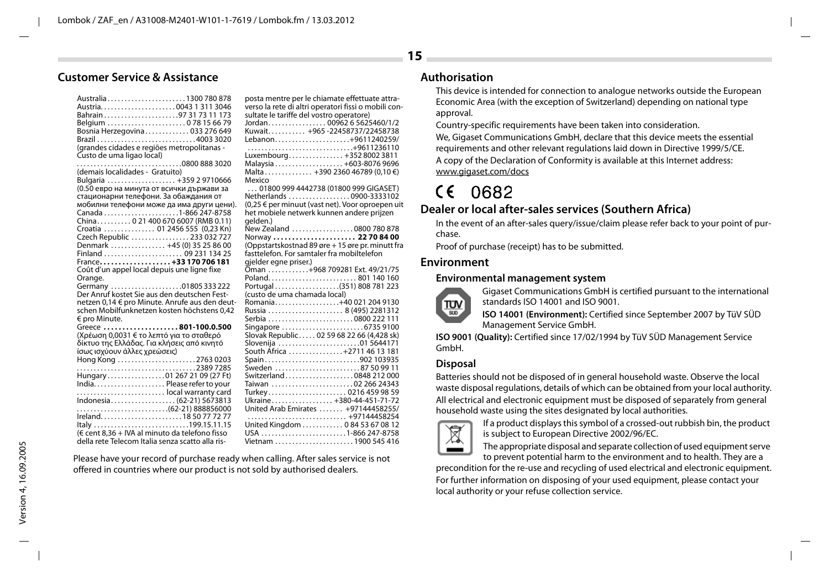### **Customer Service & Assistance**

| Australia1300 780 878                            |  |
|--------------------------------------------------|--|
|                                                  |  |
| Bahrain97 31 73 11 173                           |  |
| Belgium 078 15 66 79                             |  |
| Bosnia Herzegovina 033 276 649                   |  |
| Brazil 4003 3020                                 |  |
| (grandes cidades e regiões metropolitanas -      |  |
| Custo de uma ligao local)                        |  |
|                                                  |  |
| (demais localidades - Gratuito)                  |  |
| Bulgaria  +359 2 9710666                         |  |
| (0.50 евро на минута от всички държави за        |  |
|                                                  |  |
| стационарни телефони. За обаждания от            |  |
| мобилни телефони може да има други цени).        |  |
| Canada 1-866 247-8758                            |  |
| China 0 21 400 670 6007 (RMB 0.11)               |  |
| Croatia  01 2456 555 (0,23 Kn)                   |  |
| Czech Republic  233 032 727                      |  |
| Denmark  +45 (0) 35 25 86 00                     |  |
| Finland  09 231 134 25                           |  |
| France+33 170 706 181                            |  |
| Coût d'un appel local depuis une ligne fixe      |  |
| Orange.                                          |  |
| Germany 01805 333 222                            |  |
| Der Anruf kostet Sie aus den deutschen Fest-     |  |
| netzen 0,14 € pro Minute. Anrufe aus den deut-   |  |
| schen Mobilfunknetzen kosten höchstens 0,42      |  |
| € pro Minute.                                    |  |
| Greece 801-100.0.500                             |  |
| (Χρέωση 0,0031 € το λεπτό για το σταθερό         |  |
| δίκτυο της Ελλάδας. Για κλήσεις από κινητό       |  |
| ίσως ισχύουν άλλες χρεώσεις)                     |  |
| Hong Kong 2763 0203                              |  |
|                                                  |  |
|                                                  |  |
| Hungary01 267 21 09 (27 Ft)                      |  |
|                                                  |  |
|                                                  |  |
| Indonesia (62-21) 5673813                        |  |
|                                                  |  |
| Ireland18 50 77 72 77                            |  |
| Italy 199.15.11.15                               |  |
| (€ cent 8.36 + IVA al minuto da telefono fisso   |  |
| della rete Telecom Italia senza scatto alla ris- |  |

| posta mentre per le chiamate effettuate attra-<br>verso la rete di altri operatori fissi o mobili con-<br>sultate le tariffe del vostro operatore)<br>Jordan 00962 6 5625460/1/2 |
|----------------------------------------------------------------------------------------------------------------------------------------------------------------------------------|
| Kuwait +965-22458737/22458738                                                                                                                                                    |
| Lebanon+9611240259/                                                                                                                                                              |
| +9611236110                                                                                                                                                                      |
|                                                                                                                                                                                  |
| Luxembourg +352 8002 3811                                                                                                                                                        |
| Malaysia +603-8076 9696                                                                                                                                                          |
| Malta +390 2360 46789 (0,10 €)                                                                                                                                                   |
| Mexico                                                                                                                                                                           |
| 01800 999 4442738 (01800 999 GIGASET)                                                                                                                                            |
| Netherlands 0900-3333102                                                                                                                                                         |
| (0,25 € per minuut (vast net). Voor oproepen uit                                                                                                                                 |
| het mobiele netwerk kunnen andere prijzen                                                                                                                                        |
| qelden.)                                                                                                                                                                         |
| New Zealand 0800 780 878                                                                                                                                                         |
| Norway  22 70 84 00                                                                                                                                                              |
| (Oppstartskostnad 89 øre + 15 øre pr. minutt fra                                                                                                                                 |
| fasttelefon. For samtaler fra mobiltelefon                                                                                                                                       |
| gjelder egne priser.)                                                                                                                                                            |
| Oman +968 709281 Ext. 49/21/75                                                                                                                                                   |
| Poland801 140 160                                                                                                                                                                |
| Portugal(351) 808 781 223                                                                                                                                                        |
| (custo de uma chamada local)                                                                                                                                                     |
| Romania+40 021 204 9130                                                                                                                                                          |
| Russia  8 (495) 2281312                                                                                                                                                          |
| Serbia 0800 222 111                                                                                                                                                              |
| Singapore 6735 9100                                                                                                                                                              |
| Slovak Republic 02 59 68 22 66 (4,428 sk)                                                                                                                                        |
| Slovenija 01 5644171                                                                                                                                                             |
| South Africa +2711 46 13 181                                                                                                                                                     |
| Spain902 103935                                                                                                                                                                  |
| Sweden 87 50 99 11                                                                                                                                                               |
| Switzerland0848 212 000                                                                                                                                                          |
| Taiwan 02 266 24343                                                                                                                                                              |
| Turkey 0216 459 98 59                                                                                                                                                            |
| Ukraine +380-44-451-71-72                                                                                                                                                        |
| United Arab Emirates  +97144458255/                                                                                                                                              |
| +97144458254                                                                                                                                                                     |
| United Kingdom  0 84 53 67 08 12                                                                                                                                                 |
| USA 1-866 247-8758                                                                                                                                                               |
| Vietnam 1900 545 416                                                                                                                                                             |
|                                                                                                                                                                                  |

Please have your record of purchase ready when calling. After sales service is not offered in countries where our product is not sold by authorised dealers.

### **Authorisation**

This device is intended for connection to analogue networks outside the European Economic Area (with the exception of Switzerland) depending on national type approval.

Country-specific requirements have been taken into consideration.

We, Gigaset Communications GmbH, declare that this device meets the essential requirements and other relevant regulations laid down in Directive 1999/5/CE. A copy of the Declaration of Conformity is available at this Internet address: www.gigaset.com/docs

# $CE 0682$

### **Dealer or local after-sales services (Southern Africa)**

In the event of an after-sales query/issue/claim please refer back to your point of purchase.

Proof of purchase (receipt) has to be submitted.

### **Environment**

#### **Environmental management system**



Gigaset Communications GmbH is certified pursuant to the international standards ISO 14001 and ISO 9001.

**ISO 14001 (Environment):** Certified since September 2007 by TüV SÜD Management Service GmbH.

**ISO 9001 (Quality):** Certified since 17/02/1994 by TüV SÜD Management Service GmbH.

### **Disposal**

Batteries should not be disposed of in general household waste. Observe the local waste disposal regulations, details of which can be obtained from your local authority. All electrical and electronic equipment must be disposed of separately from general household waste using the sites designated by local authorities.



If a product displays this symbol of a crossed-out rubbish bin, the product is subject to European Directive 2002/96/EC.

The appropriate disposal and separate collection of used equipment serve to prevent potential harm to the environment and to health. They are a

precondition for the re-use and recycling of used electrical and electronic equipment. For further information on disposing of your used equipment, please contact your local authority or your refuse collection service.